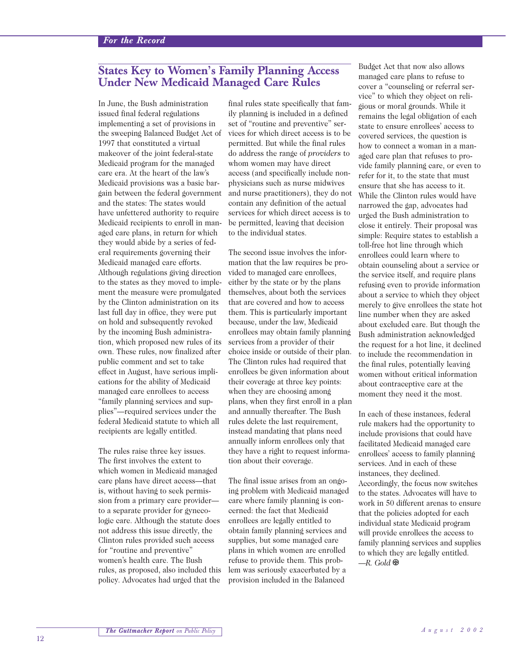## **States Key to Women's Family Planning Access Under New Medicaid Managed Care Rules**

In June, the Bush administration issued final federal regulations implementing a set of provisions in the sweeping Balanced Budget Act of 1997 that constituted a virtual makeover of the joint federal-state Medicaid program for the managed care era. At the heart of the law's Medicaid provisions was a basic bargain between the federal government and the states: The states would have unfettered authority to require Medicaid recipients to enroll in managed care plans, in return for which they would abide by a series of federal requirements governing their Medicaid managed care efforts. Although regulations giving direction to the states as they moved to implement the measure were promulgated by the Clinton administration on its last full day in office, they were put on hold and subsequently revoked by the incoming Bush administration, which proposed new rules of its own. These rules, now finalized after public comment and set to take effect in August, have serious implications for the ability of Medicaid managed care enrollees to access "family planning services and supplies"—required services under the federal Medicaid statute to which all recipients are legally entitled.

The rules raise three key issues. The first involves the extent to which women in Medicaid managed care plans have direct access—that is, without having to seek permission from a primary care provider to a separate provider for gynecologic care. Although the statute does not address this issue directly, the Clinton rules provided such access for "routine and preventive" women's health care. The Bush rules, as proposed, also included this policy. Advocates had urged that the

final rules state specifically that family planning is included in a defined set of "routine and preventive" services for which direct access is to be permitted. But while the final rules do address the range of *providers* to whom women may have direct access (and specifically include nonphysicians such as nurse midwives and nurse practitioners), they do not contain any definition of the actual services for which direct access is to be permitted, leaving that decision to the individual states.

The second issue involves the information that the law requires be provided to managed care enrollees, either by the state or by the plans themselves, about both the services that are covered and how to access them. This is particularly important because, under the law, Medicaid enrollees may obtain family planning services from a provider of their choice inside or outside of their plan. The Clinton rules had required that enrollees be given information about their coverage at three key points: when they are choosing among plans, when they first enroll in a plan and annually thereafter. The Bush rules delete the last requirement, instead mandating that plans need annually inform enrollees only that they have a right to request information about their coverage.

The final issue arises from an ongoing problem with Medicaid managed care where family planning is concerned: the fact that Medicaid enrollees are legally entitled to obtain family planning services and supplies, but some managed care plans in which women are enrolled refuse to provide them. This problem was seriously exacerbated by a provision included in the Balanced

Budget Act that now also allows managed care plans to refuse to cover a "counseling or referral service" to which they object on religious or moral grounds. While it remains the legal obligation of each state to ensure enrollees' access to covered services, the question is how to connect a woman in a managed care plan that refuses to provide family planning care, or even to refer for it, to the state that must ensure that she has access to it. While the Clinton rules would have narrowed the gap, advocates had urged the Bush administration to close it entirely. Their proposal was simple: Require states to establish a toll-free hot line through which enrollees could learn where to obtain counseling about a service or the service itself, and require plans refusing even to provide information about a service to which they object merely to give enrollees the state hot line number when they are asked about excluded care. But though the Bush administration acknowledged the request for a hot line, it declined to include the recommendation in the final rules, potentially leaving women without critical information about contraceptive care at the moment they need it the most.

In each of these instances, federal rule makers had the opportunity to include provisions that could have facilitated Medicaid managed care enrollees' access to family planning services. And in each of these instances, they declined. Accordingly, the focus now switches to the states. Advocates will have to work in 50 different arenas to ensure that the policies adopted for each individual state Medicaid program will provide enrollees the access to family planning services and supplies to which they are legally entitled. —*R. Gold*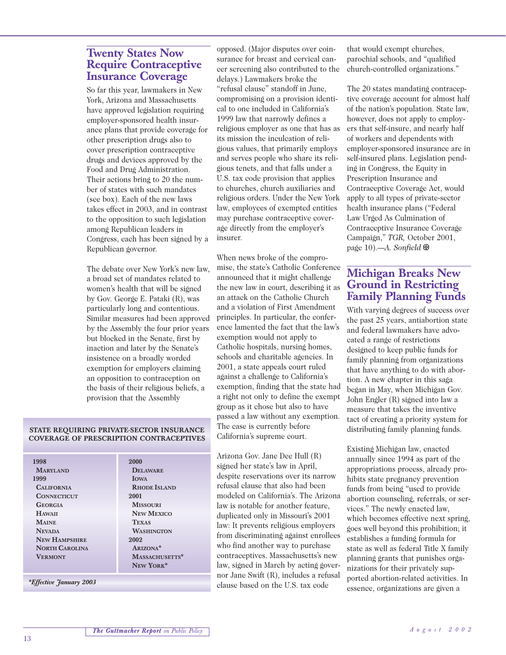## **Twenty States Now Require Contraceptive Insurance Coverage**

So far this year, lawmakers in New York, Arizona and Massachusetts have approved legislation requiring employer-sponsored health insurance plans that provide coverage for other prescription drugs also to cover prescription contraceptive drugs and devices approved by the Food and Drug Administration. Their actions bring to 20 the number of states with such mandates (see box). Each of the new laws takes effect in 2003, and in contrast to the opposition to such legislation among Republican leaders in Congress, each has been signed by a Republican governor.

The debate over New York's new law, a broad set of mandates related to women's health that will be signed by Gov. George E. Pataki (R), was particularly long and contentious. Similar measures had been approved by the Assembly the four prior years but blocked in the Senate, first by inaction and later by the Senate's insistence on a broadly worded exemption for employers claiming an opposition to contraception on the basis of their religious beliefs, a provision that the Assembly

**STATE REQUIRING PRIVATE-SECTOR INSURANCE COVERAGE OF PRESCRIPTION CONTRACEPTIVES**

| 1998                  | 2000                |
|-----------------------|---------------------|
| <b>MARYLAND</b>       | <b>DELAWARE</b>     |
| 1999                  | <b>IOWA</b>         |
| <b>CALIFORNIA</b>     | <b>RHODE ISLAND</b> |
| <b>CONNECTICUT</b>    | 2001                |
| <b>GEORGIA</b>        | <b>MISSOURI</b>     |
| <b>HAWAII</b>         | <b>NEW MEXICO</b>   |
| <b>MAINE</b>          | <b>TEXAS</b>        |
| <b>NEVADA</b>         | <b>WASHINGTON</b>   |
| <b>NEW HAMPSHIRE</b>  | 2002                |
| <b>NORTH CAROLINA</b> | ARIZONA*            |
| <b>VERMONT</b>        | MASSACHUSETTS*      |
|                       | NEW YORK*           |
|                       |                     |

*\*Effective January 2003*

opposed. (Major disputes over coinsurance for breast and cervical cancer screening also contributed to the delays.) Lawmakers broke the "refusal clause" standoff in June, compromising on a provision identical to one included in California's 1999 law that narrowly defines a religious employer as one that has as its mission the inculcation of religious values, that primarily employs and serves people who share its religious tenets, and that falls under a U.S. tax code provision that applies to churches, church auxiliaries and religious orders. Under the New York law, employees of exempted entities may purchase contraceptive coverage directly from the employer's insurer.

When news broke of the compromise, the state's Catholic Conference announced that it might challenge the new law in court, describing it as an attack on the Catholic Church and a violation of First Amendment principles. In particular, the conference lamented the fact that the law's exemption would not apply to Catholic hospitals, nursing homes, schools and charitable agencies. In 2001, a state appeals court ruled against a challenge to California's exemption, finding that the state had a right not only to define the exempt group as it chose but also to have passed a law without any exemption. The case is currently before California's supreme court.

Arizona Gov. Jane Dee Hull (R) signed her state's law in April, despite reservations over its narrow refusal clause that also had been modeled on California's. The Arizona law is notable for another feature, duplicated only in Missouri's 2001 law: It prevents religious employers from discriminating against enrollees who find another way to purchase contraceptives. Massachusetts's new law, signed in March by acting governor Jane Swift (R), includes a refusal clause based on the U.S. tax code

that would exempt churches, parochial schools, and "qualified church-controlled organizations."

The 20 states mandating contraceptive coverage account for almost half of the nation's population. State law, however, does not apply to employers that self-insure, and nearly half of workers and dependents with employer-sponsored insurance are in self-insured plans. Legislation pending in Congress, the Equity in Prescription Insurance and Contraceptive Coverage Act, would apply to all types of private-sector health insurance plans ("Federal Law Urged As Culmination of Contraceptive Insurance Coverage Campaign," *TGR,* October 2001, page 10).—*A. Sonfield*

## **Michigan Breaks New Ground in Restricting Family Planning Funds**

With varying degrees of success over the past 25 years, antiabortion state and federal lawmakers have advocated a range of restrictions designed to keep public funds for family planning from organizations that have anything to do with abortion. A new chapter in this saga began in May, when Michigan Gov. John Engler (R) signed into law a measure that takes the inventive tact of creating a priority system for distributing family planning funds.

Existing Michigan law, enacted annually since 1994 as part of the appropriations process, already prohibits state pregnancy prevention funds from being "used to provide abortion counseling, referrals, or services." The newly enacted law, which becomes effective next spring, goes well beyond this prohibition; it establishes a funding formula for state as well as federal Title X family planning grants that punishes organizations for their privately supported abortion-related activities. In essence, organizations are given a